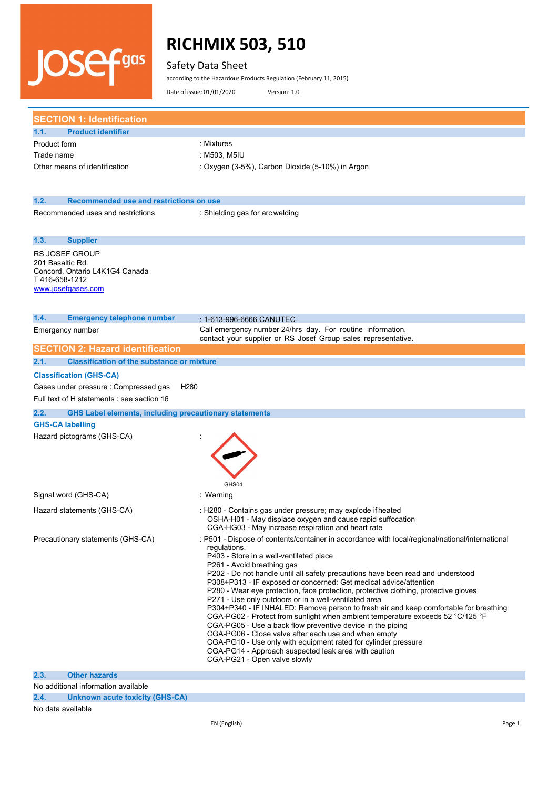### Safety Data Sheet

**JOSefans** 

according to the Hazardous Products Regulation (February 11, 2015)

Date of issue: 01/01/2020 Version: 1.0

| <b>SECTION 1: Identification</b>                                      |                                                                                                                                              |
|-----------------------------------------------------------------------|----------------------------------------------------------------------------------------------------------------------------------------------|
| <b>Product identifier</b><br>1.1.                                     |                                                                                                                                              |
| Product form                                                          | : Mixtures                                                                                                                                   |
| Trade name                                                            | : M503, M5IU                                                                                                                                 |
| Other means of identification                                         | : Oxygen (3-5%), Carbon Dioxide (5-10%) in Argon                                                                                             |
|                                                                       |                                                                                                                                              |
| 1.2.<br>Recommended use and restrictions on use                       |                                                                                                                                              |
| Recommended uses and restrictions                                     | : Shielding gas for arc welding                                                                                                              |
| 1.3.<br><b>Supplier</b>                                               |                                                                                                                                              |
| <b>RS JOSEF GROUP</b>                                                 |                                                                                                                                              |
| 201 Basaltic Rd.                                                      |                                                                                                                                              |
| Concord, Ontario L4K1G4 Canada<br>T416-658-1212                       |                                                                                                                                              |
| www.josefgases.com                                                    |                                                                                                                                              |
|                                                                       |                                                                                                                                              |
| 1.4.<br><b>Emergency telephone number</b>                             |                                                                                                                                              |
|                                                                       | : 1-613-996-6666 CANUTEC<br>Call emergency number 24/hrs day. For routine information,                                                       |
| Emergency number                                                      | contact your supplier or RS Josef Group sales representative.                                                                                |
| <b>SECTION 2: Hazard identification</b>                               |                                                                                                                                              |
| <b>Classification of the substance or mixture</b><br>2.1.             |                                                                                                                                              |
| <b>Classification (GHS-CA)</b>                                        |                                                                                                                                              |
| Gases under pressure : Compressed gas<br>H <sub>280</sub>             |                                                                                                                                              |
| Full text of H statements : see section 16                            |                                                                                                                                              |
| <b>GHS Label elements, including precautionary statements</b><br>2.2. |                                                                                                                                              |
| <b>GHS-CA labelling</b>                                               |                                                                                                                                              |
| Hazard pictograms (GHS-CA)                                            |                                                                                                                                              |
|                                                                       |                                                                                                                                              |
|                                                                       |                                                                                                                                              |
|                                                                       |                                                                                                                                              |
|                                                                       |                                                                                                                                              |
|                                                                       | GHS04                                                                                                                                        |
| Signal word (GHS-CA)                                                  | : Warning                                                                                                                                    |
| Hazard statements (GHS-CA)                                            | : H280 - Contains gas under pressure; may explode if heated<br>OSHA-H01 - May displace oxygen and cause rapid suffocation                    |
|                                                                       | CGA-HG03 - May increase respiration and heart rate                                                                                           |
| Precautionary statements (GHS-CA)                                     | : P501 - Dispose of contents/container in accordance with local/regional/national/international                                              |
|                                                                       | regulations.                                                                                                                                 |
|                                                                       | P403 - Store in a well-ventilated place<br>P261 - Avoid breathing gas                                                                        |
|                                                                       | P202 - Do not handle until all safety precautions have been read and understood                                                              |
|                                                                       | P308+P313 - IF exposed or concerned: Get medical advice/attention                                                                            |
|                                                                       | P280 - Wear eye protection, face protection, protective clothing, protective gloves<br>P271 - Use only outdoors or in a well-ventilated area |
|                                                                       | P304+P340 - IF INHALED: Remove person to fresh air and keep comfortable for breathing                                                        |
|                                                                       | CGA-PG02 - Protect from sunlight when ambient temperature exceeds 52 °C/125 °F                                                               |
|                                                                       | CGA-PG05 - Use a back flow preventive device in the piping                                                                                   |
|                                                                       | CGA-PG06 - Close valve after each use and when empty<br>CGA-PG10 - Use only with equipment rated for cylinder pressure                       |
|                                                                       | CGA-PG14 - Approach suspected leak area with caution                                                                                         |
|                                                                       | CGA-PG21 - Open valve slowly                                                                                                                 |
|                                                                       |                                                                                                                                              |
| 2.3.<br><b>Other hazards</b>                                          |                                                                                                                                              |

**2.4. Unknown acute toxicity (GHS-CA)**

#### No data available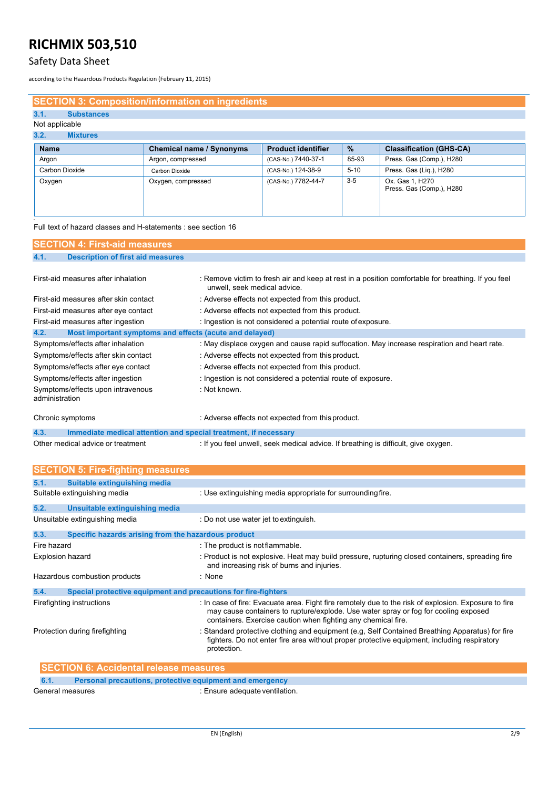## Safety Data Sheet

according to the Hazardous Products Regulation (February 11, 2015)

### **SECTION 3: Composition/information on ingredients**

## **3.1. Substances**

#### Not applicable **3.2. Mixtu**

| $\mathbf{v}$ . As a $\mathbf{v}$<br><b>IVIIALUI 69</b> |                                 |                           |       |                                             |
|--------------------------------------------------------|---------------------------------|---------------------------|-------|---------------------------------------------|
| <b>Name</b>                                            | <b>Chemical name / Synonyms</b> | <b>Product identifier</b> | %     | <b>Classification (GHS-CA)</b>              |
| Argon                                                  | Argon, compressed               | (CAS-No.) 7440-37-1       | 85-93 | Press. Gas (Comp.), H280                    |
| Carbon Dioxide                                         | Carbon Dioxide                  | (CAS-No.) 124-38-9        | 5-10  | Press. Gas (Lig.), H280                     |
| Oxygen                                                 | Oxygen, compressed              | (CAS-No.) 7782-44-7       | $3-5$ | Ox. Gas 1, H270<br>Press. Gas (Comp.), H280 |

Full text of hazard classes and H-statements : see section 16

| <b>SECTION 4: First-aid measures</b>                                    |                                                                                                                                    |
|-------------------------------------------------------------------------|------------------------------------------------------------------------------------------------------------------------------------|
| 4.1.<br><b>Description of first aid measures</b>                        |                                                                                                                                    |
|                                                                         |                                                                                                                                    |
| First-aid measures after inhalation                                     | : Remove victim to fresh air and keep at rest in a position comfortable for breathing. If you feel<br>unwell, seek medical advice. |
| First-aid measures after skin contact                                   | : Adverse effects not expected from this product.                                                                                  |
| First-aid measures after eye contact                                    | : Adverse effects not expected from this product.                                                                                  |
| First-aid measures after ingestion                                      | : Ingestion is not considered a potential route of exposure.                                                                       |
| 4.2.<br>Most important symptoms and effects (acute and delayed)         |                                                                                                                                    |
| Symptoms/effects after inhalation                                       | : May displace oxygen and cause rapid suffocation. May increase respiration and heart rate.                                        |
| Symptoms/effects after skin contact                                     | : Adverse effects not expected from this product.                                                                                  |
| Symptoms/effects after eye contact                                      | : Adverse effects not expected from this product.                                                                                  |
| Symptoms/effects after ingestion                                        | : Ingestion is not considered a potential route of exposure.                                                                       |
| Symptoms/effects upon intravenous<br>administration                     | : Not known.                                                                                                                       |
| Chronic symptoms                                                        | : Adverse effects not expected from this product.                                                                                  |
| 4.3.<br>Immediate medical attention and special treatment, if necessary |                                                                                                                                    |
| Other medical advice or treatment                                       | : If you feel unwell, seek medical advice. If breathing is difficult, give oxygen.                                                 |

| <b>SECTION 5: Fire-fighting measures</b>                               |                                                                                                                                                                                                                                                              |
|------------------------------------------------------------------------|--------------------------------------------------------------------------------------------------------------------------------------------------------------------------------------------------------------------------------------------------------------|
| 5.1.<br>Suitable extinguishing media                                   |                                                                                                                                                                                                                                                              |
| Suitable extinguishing media                                           | : Use extinguishing media appropriate for surrounding fire.                                                                                                                                                                                                  |
| 5.2.<br>Unsuitable extinguishing media                                 |                                                                                                                                                                                                                                                              |
| Unsuitable extinguishing media                                         | Do not use water jet to extinguish.                                                                                                                                                                                                                          |
| 5.3.<br>Specific hazards arising from the hazardous product            |                                                                                                                                                                                                                                                              |
| Fire hazard                                                            | : The product is not flammable.                                                                                                                                                                                                                              |
| <b>Explosion hazard</b>                                                | : Product is not explosive. Heat may build pressure, rupturing closed containers, spreading fire<br>and increasing risk of burns and injuries.                                                                                                               |
| Hazardous combustion products                                          | : None                                                                                                                                                                                                                                                       |
| 5.4.<br>Special protective equipment and precautions for fire-fighters |                                                                                                                                                                                                                                                              |
| Firefighting instructions                                              | : In case of fire: Evacuate area. Fight fire remotely due to the risk of explosion. Exposure to fire<br>may cause containers to rupture/explode. Use water spray or fog for cooling exposed<br>containers. Exercise caution when fighting any chemical fire. |
| Protection during firefighting                                         | : Standard protective clothing and equipment (e.g. Self Contained Breathing Apparatus) for fire<br>fighters. Do not enter fire area without proper protective equipment, including respiratory<br>protection.                                                |
| <b>SECTION 6: Accidental release measures</b>                          |                                                                                                                                                                                                                                                              |

| 6.1.             | <b>Personal precautions, protective equipment and emergency</b> |  |
|------------------|-----------------------------------------------------------------|--|
| General measures | : Ensure adequate ventilation.                                  |  |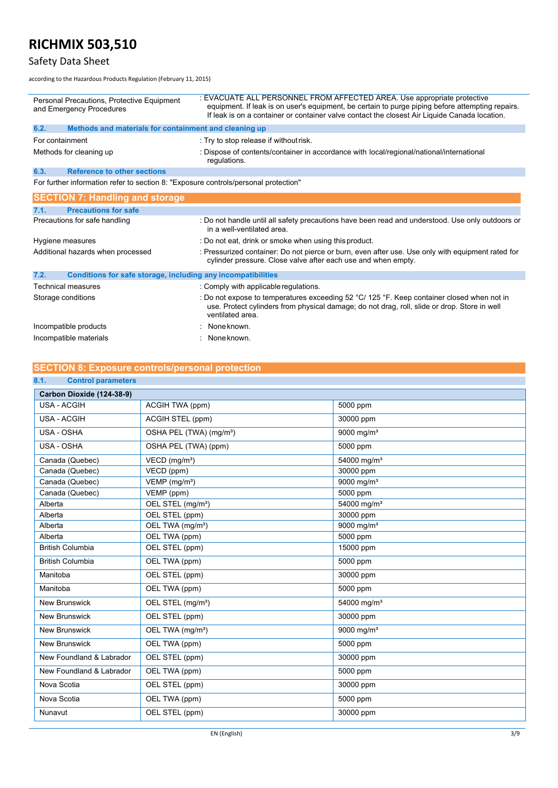# Safety Data Sheet

according to the Hazardous Products Regulation (February 11, 2015)

| Personal Precautions, Protective Equipment<br>and Emergency Procedures |                                                                                     | : EVACUATE ALL PERSONNEL FROM AFFECTED AREA. Use appropriate protective<br>equipment. If leak is on user's equipment, be certain to purge piping before attempting repairs.<br>If leak is on a container or container valve contact the closest Air Liquide Canada location. |
|------------------------------------------------------------------------|-------------------------------------------------------------------------------------|------------------------------------------------------------------------------------------------------------------------------------------------------------------------------------------------------------------------------------------------------------------------------|
| 6.2.                                                                   | Methods and materials for containment and cleaning up                               |                                                                                                                                                                                                                                                                              |
| For containment                                                        |                                                                                     | : Try to stop release if without risk.                                                                                                                                                                                                                                       |
| Methods for cleaning up                                                |                                                                                     | : Dispose of contents/container in accordance with local/regional/national/international<br>regulations.                                                                                                                                                                     |
| 6.3.                                                                   | <b>Reference to other sections</b>                                                  |                                                                                                                                                                                                                                                                              |
|                                                                        | For further information refer to section 8: "Exposure controls/personal protection" |                                                                                                                                                                                                                                                                              |
|                                                                        | <b>SECTION 7: Handling and storage</b>                                              |                                                                                                                                                                                                                                                                              |
| 7.1.                                                                   | <b>Precautions for safe</b>                                                         |                                                                                                                                                                                                                                                                              |
| Precautions for safe handling                                          |                                                                                     | : Do not handle until all safety precautions have been read and understood. Use only outdoors or<br>in a well-ventilated area                                                                                                                                                |
| Hygiene measures                                                       |                                                                                     | : Do not eat, drink or smoke when using this product.                                                                                                                                                                                                                        |
| Additional hazards when processed                                      |                                                                                     | : Pressurized container: Do not pierce or burn, even after use. Use only with equipment rated for<br>cylinder pressure. Close valve after each use and when empty.                                                                                                           |
| 7.2.                                                                   | Conditions for safe storage, including any incompatibilities                        |                                                                                                                                                                                                                                                                              |
|                                                                        | Technical measures                                                                  | : Comply with applicable regulations.                                                                                                                                                                                                                                        |
|                                                                        | Storage conditions                                                                  | : Do not expose to temperatures exceeding 52 °C/ 125 °F. Keep container closed when not in<br>use. Protect cylinders from physical damage; do not drag, roll, slide or drop. Store in well<br>ventilated area.                                                               |

: None known. : None known.

| Incompatible products  |  |
|------------------------|--|
| Incompatible materials |  |

## **SECTION 8: Exposure controls/personal protection**

| 8.1.<br><b>Control parameters</b> |                                     |                          |
|-----------------------------------|-------------------------------------|--------------------------|
| Carbon Dioxide (124-38-9)         |                                     |                          |
| <b>USA - ACGIH</b>                | ACGIH TWA (ppm)                     | 5000 ppm                 |
| <b>USA - ACGIH</b>                | ACGIH STEL (ppm)                    | 30000 ppm                |
| USA - OSHA                        | OSHA PEL (TWA) (mg/m <sup>3</sup> ) | 9000 mg/m <sup>3</sup>   |
| USA - OSHA                        | OSHA PEL (TWA) (ppm)                | 5000 ppm                 |
| Canada (Quebec)                   | VECD (mg/m <sup>3</sup> )           | 54000 mg/m <sup>3</sup>  |
| Canada (Quebec)                   | VECD (ppm)                          | 30000 ppm                |
| Canada (Quebec)                   | VEMP (mg/m <sup>3</sup> )           | 9000 mg/m <sup>3</sup>   |
| Canada (Quebec)                   | VEMP (ppm)                          | 5000 ppm                 |
| Alberta                           | OEL STEL (mg/m <sup>3</sup> )       | 54000 mg/m <sup>3</sup>  |
| Alberta                           | OEL STEL (ppm)                      | 30000 ppm                |
| Alberta                           | OEL TWA (mg/m <sup>3</sup> )        | 9000 mg/m <sup>3</sup>   |
| Alberta                           | OEL TWA (ppm)                       | 5000 ppm                 |
| <b>British Columbia</b>           | OEL STEL (ppm)                      | 15000 ppm                |
| <b>British Columbia</b>           | OEL TWA (ppm)                       | 5000 ppm                 |
| Manitoba                          | OEL STEL (ppm)                      | 30000 ppm                |
| Manitoba                          | OEL TWA (ppm)                       | 5000 ppm                 |
| <b>New Brunswick</b>              | OEL STEL (mg/m <sup>3</sup> )       | 54000 mg/m <sup>3</sup>  |
| <b>New Brunswick</b>              | OEL STEL (ppm)                      | 30000 ppm                |
| New Brunswick                     | OEL TWA (mg/m <sup>3</sup> )        | $9000$ mg/m <sup>3</sup> |
| <b>New Brunswick</b>              | OEL TWA (ppm)                       | 5000 ppm                 |
| New Foundland & Labrador          | OEL STEL (ppm)                      | 30000 ppm                |
| New Foundland & Labrador          | OEL TWA (ppm)                       | 5000 ppm                 |
| Nova Scotia                       | OEL STEL (ppm)                      | 30000 ppm                |
| Nova Scotia                       | OEL TWA (ppm)                       | 5000 ppm                 |
| Nunavut                           | OEL STEL (ppm)                      | 30000 ppm                |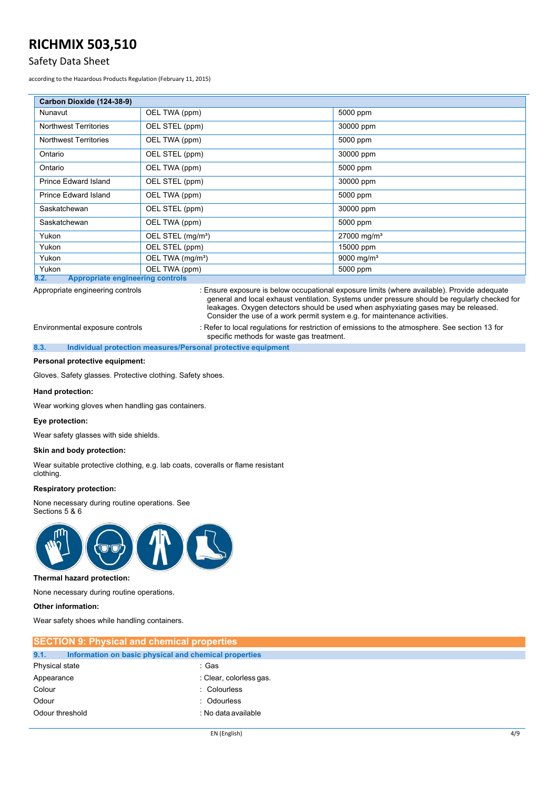### Safety Data Sheet

according to the Hazardous Products Regulation (February 11, 2015)

| Carbon Dioxide (124-38-9)                                            |                               |                           |
|----------------------------------------------------------------------|-------------------------------|---------------------------|
| Nunavut                                                              | OEL TWA (ppm)                 | 5000 ppm                  |
| <b>Northwest Territories</b>                                         | OEL STEL (ppm)                | 30000 ppm                 |
| <b>Northwest Territories</b>                                         | OEL TWA (ppm)                 | 5000 ppm                  |
| Ontario                                                              | OEL STEL (ppm)                | 30000 ppm                 |
| Ontario                                                              | OEL TWA (ppm)                 | 5000 ppm                  |
| Prince Edward Island                                                 | OEL STEL (ppm)                | 30000 ppm                 |
| <b>Prince Edward Island</b>                                          | OEL TWA (ppm)                 | 5000 ppm                  |
| Saskatchewan                                                         | OEL STEL (ppm)                | 30000 ppm                 |
| Saskatchewan                                                         | OEL TWA (ppm)                 | 5000 ppm                  |
| Yukon                                                                | OEL STEL (mg/m <sup>3</sup> ) | $27000$ mg/m <sup>3</sup> |
| Yukon                                                                | OEL STEL (ppm)                | 15000 ppm                 |
| Yukon                                                                | OEL TWA (mg/m <sup>3</sup> )  | 9000 mg/m <sup>3</sup>    |
| Yukon<br>Annuanviate engineeving controle<br>$\overline{\mathbf{o}}$ | OEL TWA (ppm)                 | 5000 ppm                  |

**8.2. Appropriate engineering controls**

Appropriate engineering controls : Ensure exposure is below occupational exposure limits (where available). Provide adequate general and local exhaust ventilation. Systems under pressure should be regularly checked for leakages. Oxygen detectors should be used when asphyxiating gases may be released. Consider the use of a work permit system e.g. for maintenance activities.

Environmental exposure controls : Refer to local regulations for restriction of emissions to the atmosphere. See section 13 for specific methods for waste gas treatment.

#### **8.3. Individual protection measures/Personal protective equipment**

#### **Personal protective equipment:**

Gloves. Safety glasses. Protective clothing. Safety shoes.

#### **Hand protection:**

Wear working gloves when handling gas containers.

#### **Eye protection:**

Wear safety glasses with side shields.

#### **Skin and body protection:**

Wear suitable protective clothing, e.g. lab coats, coveralls or flame resistant clothing.

#### **Respiratory protection:**

None necessary during routine operations. See Sections 5 & 6



#### **Thermal hazard protection:**

None necessary during routine operations.

**Other information:**

Wear safety shoes while handling containers.

| <b>SECTION 9: Physical and chemical properties</b> |                                                       |  |
|----------------------------------------------------|-------------------------------------------------------|--|
| 9.1.                                               | Information on basic physical and chemical properties |  |
| Physical state                                     | :Gas                                                  |  |
| Appearance                                         | : Clear, colorless gas                                |  |
| Colour                                             | : Colourless                                          |  |
| Odour                                              | : Odourless                                           |  |
| Odour threshold                                    | : No data available                                   |  |
|                                                    |                                                       |  |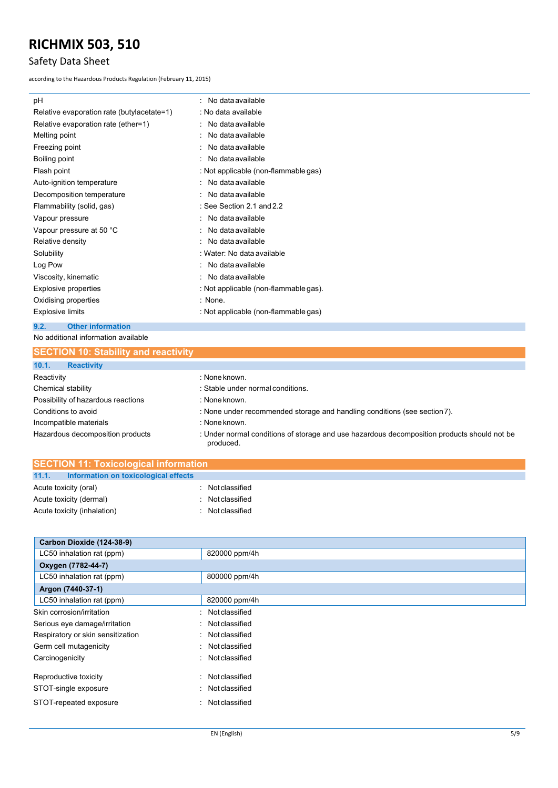# Safety Data Sheet

according to the Hazardous Products Regulation (February 11, 2015)

| рH                                         | : No data available                   |
|--------------------------------------------|---------------------------------------|
| Relative evaporation rate (butylacetate=1) | : No data available                   |
| Relative evaporation rate (ether=1)        | $\therefore$ No data available        |
| Melting point                              | No data available                     |
| Freezing point                             | : No data available                   |
| Boiling point                              | : No data available                   |
| Flash point                                | : Not applicable (non-flammable gas)  |
| Auto-ignition temperature                  | $\therefore$ No data available        |
| Decomposition temperature                  | : No data available                   |
| Flammability (solid, gas)                  | : See Section 2.1 and $2.2$           |
| Vapour pressure                            | $\therefore$ No data available        |
| Vapour pressure at 50 °C                   | $\therefore$ No data available        |
| Relative density                           | : No data available                   |
| Solubility                                 | : Water: No data available            |
| Log Pow                                    | $\therefore$ No data available        |
| Viscosity, kinematic                       | $\therefore$ No data available        |
| Explosive properties                       | : Not applicable (non-flammable gas). |
| Oxidising properties                       | : None.                               |
| <b>Explosive limits</b>                    | : Not applicable (non-flammable gas)  |
|                                            |                                       |

### No additional information available **9.2. Other information**

| <b>SECTION 10: Stability and reactivity</b> |                                                                                                          |
|---------------------------------------------|----------------------------------------------------------------------------------------------------------|
| 10.1.<br><b>Reactivity</b>                  |                                                                                                          |
| Reactivity                                  | : None known.                                                                                            |
| Chemical stability                          | : Stable under normal conditions.                                                                        |
| Possibility of hazardous reactions          | : None known.                                                                                            |
| Conditions to avoid                         | : None under recommended storage and handling conditions (see section 7).                                |
| Incompatible materials                      | : None known.                                                                                            |
| Hazardous decomposition products            | : Under normal conditions of storage and use hazardous decomposition products should not be<br>produced. |

| <b>SECTION 11: Toxicological information</b> |                                            |  |                |
|----------------------------------------------|--------------------------------------------|--|----------------|
|                                              | 11.1. Information on toxicological effects |  |                |
| Acute toxicity (oral)                        |                                            |  | Not classified |
| Acute toxicity (dermal)                      |                                            |  | Not classified |
| Acute toxicity (inhalation)                  |                                            |  | Not classified |

| Carbon Dioxide (124-38-9)              |                |  |  |  |
|----------------------------------------|----------------|--|--|--|
| LC50 inhalation rat (ppm)              | 820000 ppm/4h  |  |  |  |
| Oxygen (7782-44-7)                     |                |  |  |  |
| LC50 inhalation rat (ppm)              | 800000 ppm/4h  |  |  |  |
| Argon (7440-37-1)                      |                |  |  |  |
| LC50 inhalation rat (ppm)              | 820000 ppm/4h  |  |  |  |
| Skin corrosion/irritation<br>٠         | Not classified |  |  |  |
| Serious eye damage/irritation<br>٠     | Not classified |  |  |  |
| Respiratory or skin sensitization<br>۰ | Not classified |  |  |  |
| Germ cell mutagenicity<br>$\sim$       | Not classified |  |  |  |
| Carcinogenicity<br>۰                   | Not classified |  |  |  |
| Reproductive toxicity<br>۰.            | Not classified |  |  |  |
| STOT-single exposure<br>۰              | Not classified |  |  |  |
| STOT-repeated exposure<br>٠            | Not classified |  |  |  |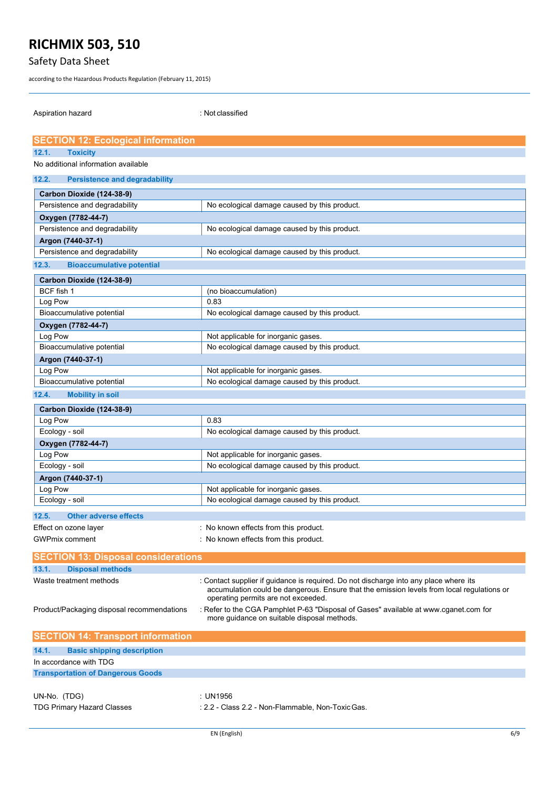# Safety Data Sheet

according to the Hazardous Products Regulation (February 11, 2015)

Aspiration hazard is a set of the set of the set of the set of the set of the set of the set of the set of the

| <b>SECTION 12: Ecological information</b>           |                                                                                                                                                                                                                            |  |  |  |
|-----------------------------------------------------|----------------------------------------------------------------------------------------------------------------------------------------------------------------------------------------------------------------------------|--|--|--|
| 12.1.<br><b>Toxicity</b>                            |                                                                                                                                                                                                                            |  |  |  |
| No additional information available                 |                                                                                                                                                                                                                            |  |  |  |
| 12.2.<br><b>Persistence and degradability</b>       |                                                                                                                                                                                                                            |  |  |  |
| Carbon Dioxide (124-38-9)                           |                                                                                                                                                                                                                            |  |  |  |
| Persistence and degradability                       | No ecological damage caused by this product.                                                                                                                                                                               |  |  |  |
|                                                     |                                                                                                                                                                                                                            |  |  |  |
| Oxygen (7782-44-7)<br>Persistence and degradability | No ecological damage caused by this product.                                                                                                                                                                               |  |  |  |
|                                                     |                                                                                                                                                                                                                            |  |  |  |
| Argon (7440-37-1)<br>Persistence and degradability  | No ecological damage caused by this product.                                                                                                                                                                               |  |  |  |
|                                                     |                                                                                                                                                                                                                            |  |  |  |
| 12.3.<br><b>Bioaccumulative potential</b>           |                                                                                                                                                                                                                            |  |  |  |
| Carbon Dioxide (124-38-9)                           |                                                                                                                                                                                                                            |  |  |  |
| BCF fish 1                                          | (no bioaccumulation)                                                                                                                                                                                                       |  |  |  |
| Log Pow                                             | 0.83                                                                                                                                                                                                                       |  |  |  |
| Bioaccumulative potential                           | No ecological damage caused by this product.                                                                                                                                                                               |  |  |  |
| Oxygen (7782-44-7)                                  |                                                                                                                                                                                                                            |  |  |  |
| Log Pow                                             | Not applicable for inorganic gases.                                                                                                                                                                                        |  |  |  |
| Bioaccumulative potential                           | No ecological damage caused by this product.                                                                                                                                                                               |  |  |  |
| Argon (7440-37-1)                                   |                                                                                                                                                                                                                            |  |  |  |
| Log Pow                                             | Not applicable for inorganic gases.                                                                                                                                                                                        |  |  |  |
| Bioaccumulative potential                           | No ecological damage caused by this product.                                                                                                                                                                               |  |  |  |
| 12.4.<br><b>Mobility in soil</b>                    |                                                                                                                                                                                                                            |  |  |  |
| Carbon Dioxide (124-38-9)                           |                                                                                                                                                                                                                            |  |  |  |
| Log Pow                                             | 0.83                                                                                                                                                                                                                       |  |  |  |
| Ecology - soil                                      | No ecological damage caused by this product.                                                                                                                                                                               |  |  |  |
| Oxygen (7782-44-7)                                  |                                                                                                                                                                                                                            |  |  |  |
| Log Pow                                             | Not applicable for inorganic gases.                                                                                                                                                                                        |  |  |  |
| Ecology - soil                                      | No ecological damage caused by this product.                                                                                                                                                                               |  |  |  |
| Argon (7440-37-1)                                   |                                                                                                                                                                                                                            |  |  |  |
| Log Pow                                             | Not applicable for inorganic gases.                                                                                                                                                                                        |  |  |  |
| Ecology - soil                                      | No ecological damage caused by this product.                                                                                                                                                                               |  |  |  |
| 12.5.<br><b>Other adverse effects</b>               |                                                                                                                                                                                                                            |  |  |  |
| Effect on ozone layer                               | : No known effects from this product.                                                                                                                                                                                      |  |  |  |
| <b>GWPmix comment</b>                               | : No known effects from this product.                                                                                                                                                                                      |  |  |  |
|                                                     |                                                                                                                                                                                                                            |  |  |  |
| <b>SECTION 13: Disposal considerations</b>          |                                                                                                                                                                                                                            |  |  |  |
| 13.1.<br><b>Disposal methods</b>                    |                                                                                                                                                                                                                            |  |  |  |
| Waste treatment methods                             | : Contact supplier if guidance is required. Do not discharge into any place where its<br>accumulation could be dangerous. Ensure that the emission levels from local regulations or<br>operating permits are not exceeded. |  |  |  |
| Product/Packaging disposal recommendations          | : Refer to the CGA Pamphlet P-63 "Disposal of Gases" available at www.cganet.com for<br>more guidance on suitable disposal methods.                                                                                        |  |  |  |
| <b>SECTION 14: Transport information</b>            |                                                                                                                                                                                                                            |  |  |  |
| <b>Basic shipping description</b><br>14.1.          |                                                                                                                                                                                                                            |  |  |  |
| In accordance with TDG                              |                                                                                                                                                                                                                            |  |  |  |
| <b>Transportation of Dangerous Goods</b>            |                                                                                                                                                                                                                            |  |  |  |
|                                                     |                                                                                                                                                                                                                            |  |  |  |
| UN-No. (TDG)                                        | : UN1956                                                                                                                                                                                                                   |  |  |  |
| <b>TDG Primary Hazard Classes</b>                   | : 2.2 - Class 2.2 - Non-Flammable, Non-Toxic Gas.                                                                                                                                                                          |  |  |  |
|                                                     |                                                                                                                                                                                                                            |  |  |  |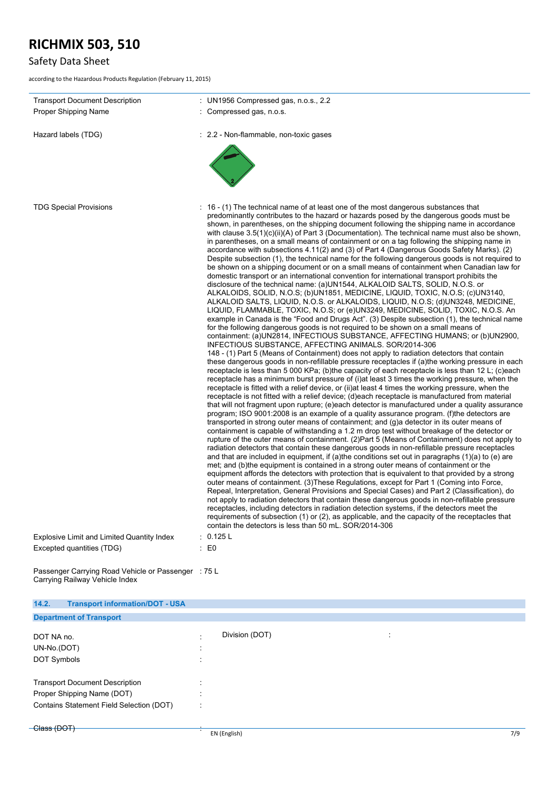# Safety Data Sheet

according to the Hazardous Products Regulation (February 11, 2015)

| <b>Transport Document Description</b><br><b>Proper Shipping Name</b> | : UN1956 Compressed gas, n.o.s., $2.2$<br>: Compressed gas, n.o.s.                                                                                                                                                                                                                                                                                                                                                                                                                                                                                                                                                                                                                                                                                                                                                                                                                                                                                                                                                                                                                                                                                                                                                                                                                                                                                                                                                                                                                                                                                                                                                                                                                                                                                                                                                                                                                                                                                                                                                                                                                                                                                                                                                                                                                                                                                                                                                                                                                                                                                                                                                                                                                                                                                                                                                                                                                                                                                                                                                                                                                                                                                                                                                                                                                                                                                                                                                                                                                                                                                                                                                               |
|----------------------------------------------------------------------|----------------------------------------------------------------------------------------------------------------------------------------------------------------------------------------------------------------------------------------------------------------------------------------------------------------------------------------------------------------------------------------------------------------------------------------------------------------------------------------------------------------------------------------------------------------------------------------------------------------------------------------------------------------------------------------------------------------------------------------------------------------------------------------------------------------------------------------------------------------------------------------------------------------------------------------------------------------------------------------------------------------------------------------------------------------------------------------------------------------------------------------------------------------------------------------------------------------------------------------------------------------------------------------------------------------------------------------------------------------------------------------------------------------------------------------------------------------------------------------------------------------------------------------------------------------------------------------------------------------------------------------------------------------------------------------------------------------------------------------------------------------------------------------------------------------------------------------------------------------------------------------------------------------------------------------------------------------------------------------------------------------------------------------------------------------------------------------------------------------------------------------------------------------------------------------------------------------------------------------------------------------------------------------------------------------------------------------------------------------------------------------------------------------------------------------------------------------------------------------------------------------------------------------------------------------------------------------------------------------------------------------------------------------------------------------------------------------------------------------------------------------------------------------------------------------------------------------------------------------------------------------------------------------------------------------------------------------------------------------------------------------------------------------------------------------------------------------------------------------------------------------------------------------------------------------------------------------------------------------------------------------------------------------------------------------------------------------------------------------------------------------------------------------------------------------------------------------------------------------------------------------------------------------------------------------------------------------------------------------------------------|
|                                                                      |                                                                                                                                                                                                                                                                                                                                                                                                                                                                                                                                                                                                                                                                                                                                                                                                                                                                                                                                                                                                                                                                                                                                                                                                                                                                                                                                                                                                                                                                                                                                                                                                                                                                                                                                                                                                                                                                                                                                                                                                                                                                                                                                                                                                                                                                                                                                                                                                                                                                                                                                                                                                                                                                                                                                                                                                                                                                                                                                                                                                                                                                                                                                                                                                                                                                                                                                                                                                                                                                                                                                                                                                                                  |
| Hazard labels (TDG)                                                  | : 2.2 - Non-flammable, non-toxic gases                                                                                                                                                                                                                                                                                                                                                                                                                                                                                                                                                                                                                                                                                                                                                                                                                                                                                                                                                                                                                                                                                                                                                                                                                                                                                                                                                                                                                                                                                                                                                                                                                                                                                                                                                                                                                                                                                                                                                                                                                                                                                                                                                                                                                                                                                                                                                                                                                                                                                                                                                                                                                                                                                                                                                                                                                                                                                                                                                                                                                                                                                                                                                                                                                                                                                                                                                                                                                                                                                                                                                                                           |
| <b>TDG Special Provisions</b>                                        | $\pm$ 16 - (1) The technical name of at least one of the most dangerous substances that<br>predominantly contributes to the hazard or hazards posed by the dangerous goods must be<br>shown, in parentheses, on the shipping document following the shipping name in accordance<br>with clause $3.5(1)(c)(ii)(A)$ of Part 3 (Documentation). The technical name must also be shown,<br>in parentheses, on a small means of containment or on a tag following the shipping name in<br>accordance with subsections 4.11(2) and (3) of Part 4 (Dangerous Goods Safety Marks). (2)<br>Despite subsection (1), the technical name for the following dangerous goods is not required to<br>be shown on a shipping document or on a small means of containment when Canadian law for<br>domestic transport or an international convention for international transport prohibits the<br>disclosure of the technical name: (a)UN1544, ALKALOID SALTS, SOLID, N.O.S. or<br>ALKALOIDS, SOLID, N.O.S; (b)UN1851, MEDICINE, LIQUID, TOXIC, N.O.S; (c)UN3140,<br>ALKALOID SALTS, LIQUID, N.O.S. or ALKALOIDS, LIQUID, N.O.S; (d)UN3248, MEDICINE,<br>LIQUID, FLAMMABLE, TOXIC, N.O.S; or (e)UN3249, MEDICINE, SOLID, TOXIC, N.O.S. An<br>example in Canada is the "Food and Drugs Act". (3) Despite subsection (1), the technical name<br>for the following dangerous goods is not required to be shown on a small means of<br>containment: (a)UN2814, INFECTIOUS SUBSTANCE, AFFECTING HUMANS; or (b)UN2900,<br>INFECTIOUS SUBSTANCE, AFFECTING ANIMALS. SOR/2014-306<br>148 - (1) Part 5 (Means of Containment) does not apply to radiation detectors that contain<br>these dangerous goods in non-refillable pressure receptacles if (a)the working pressure in each<br>receptacle is less than 5 000 KPa; (b)the capacity of each receptacle is less than 12 L; (c)each<br>receptacle has a minimum burst pressure of (i) at least 3 times the working pressure, when the<br>receptacle is fitted with a relief device, or (ii) at least 4 times the working pressure, when the<br>receptacle is not fitted with a relief device; (d)each receptacle is manufactured from material<br>that will not fragment upon rupture; (e)each detector is manufactured under a quality assurance<br>program; ISO 9001:2008 is an example of a quality assurance program. (f)the detectors are<br>transported in strong outer means of containment; and (g)a detector in its outer means of<br>containment is capable of withstanding a 1.2 m drop test without breakage of the detector or<br>rupture of the outer means of containment. (2)Part 5 (Means of Containment) does not apply to<br>radiation detectors that contain these dangerous goods in non-refillable pressure receptacles<br>and that are included in equipment, if (a)the conditions set out in paragraphs $(1)(a)$ to (e) are<br>met; and (b)the equipment is contained in a strong outer means of containment or the<br>equipment affords the detectors with protection that is equivalent to that provided by a strong<br>outer means of containment. (3) These Regulations, except for Part 1 (Coming into Force,<br>Repeal, Interpretation, General Provisions and Special Cases) and Part 2 (Classification), do<br>not apply to radiation detectors that contain these dangerous goods in non-refillable pressure<br>receptacles, including detectors in radiation detection systems, if the detectors meet the<br>requirements of subsection (1) or (2), as applicable, and the capacity of the receptacles that<br>contain the detectors is less than 50 mL. SOR/2014-306 |
| <b>Explosive Limit and Limited Quantity Index</b>                    | : 0.125 L                                                                                                                                                                                                                                                                                                                                                                                                                                                                                                                                                                                                                                                                                                                                                                                                                                                                                                                                                                                                                                                                                                                                                                                                                                                                                                                                                                                                                                                                                                                                                                                                                                                                                                                                                                                                                                                                                                                                                                                                                                                                                                                                                                                                                                                                                                                                                                                                                                                                                                                                                                                                                                                                                                                                                                                                                                                                                                                                                                                                                                                                                                                                                                                                                                                                                                                                                                                                                                                                                                                                                                                                                        |
| Excepted quantities (TDG)                                            | $\pm 50$                                                                                                                                                                                                                                                                                                                                                                                                                                                                                                                                                                                                                                                                                                                                                                                                                                                                                                                                                                                                                                                                                                                                                                                                                                                                                                                                                                                                                                                                                                                                                                                                                                                                                                                                                                                                                                                                                                                                                                                                                                                                                                                                                                                                                                                                                                                                                                                                                                                                                                                                                                                                                                                                                                                                                                                                                                                                                                                                                                                                                                                                                                                                                                                                                                                                                                                                                                                                                                                                                                                                                                                                                         |
| Passenger Carrying Road Vehicle or Passenger : 75 L                  |                                                                                                                                                                                                                                                                                                                                                                                                                                                                                                                                                                                                                                                                                                                                                                                                                                                                                                                                                                                                                                                                                                                                                                                                                                                                                                                                                                                                                                                                                                                                                                                                                                                                                                                                                                                                                                                                                                                                                                                                                                                                                                                                                                                                                                                                                                                                                                                                                                                                                                                                                                                                                                                                                                                                                                                                                                                                                                                                                                                                                                                                                                                                                                                                                                                                                                                                                                                                                                                                                                                                                                                                                                  |

Carrying Railway Vehicle Index

| 14.2.<br><b>Transport information/DOT - USA</b>                                                                 |                                              |                                               |     |
|-----------------------------------------------------------------------------------------------------------------|----------------------------------------------|-----------------------------------------------|-----|
| <b>Department of Transport</b>                                                                                  |                                              |                                               |     |
| DOT NA no.<br>UN-No.(DOT)<br>DOT Symbols                                                                        | $\ddot{\phantom{1}}$<br>$\ddot{\phantom{1}}$ | Division (DOT)<br>$\bullet$<br>$\blacksquare$ |     |
| <b>Transport Document Description</b><br>Proper Shipping Name (DOT)<br>Contains Statement Field Selection (DOT) |                                              |                                               |     |
| -Class (DOT)                                                                                                    |                                              | EN (English)                                  | 7/9 |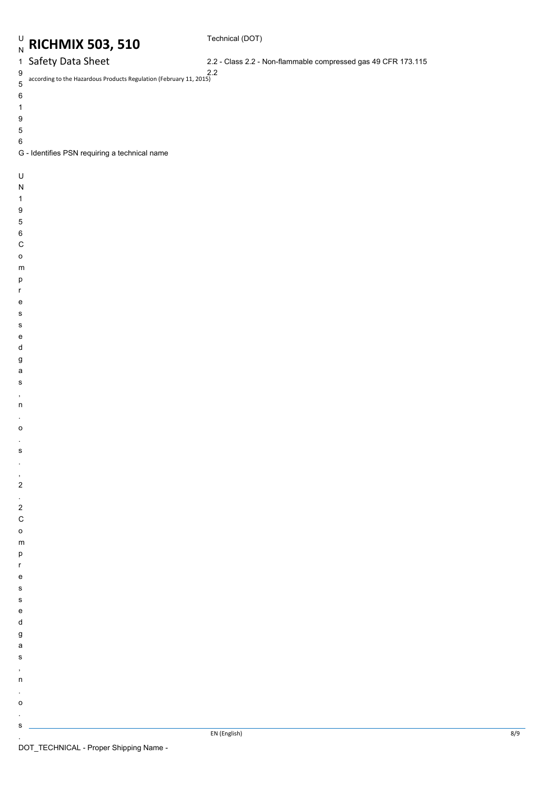### Technical (DOT)

## 1 Safety Data Sheet

2.2 - Class 2.2 - Non-flammable compressed gas 49 CFR 173.115

according to the Hazardous Products Regulation (February 11, 2015) 2.29 5

- 
- 6
- 1
- 9
- 5
- 
- 6
- G Identifies PSN requiring a technical name
- U
- N
- 1
- 
- 9
- 5
- 6
- C
- 
- o
- m
- p
- r
- e
- s
- s
- e
- d
- g
- a
- s
- ,
- n .
- o
- .
- s
- .
- ,
- 2 .
- 2
- C
- o
- m
- p
- r
- e
- s s
- e
- d
- g
- a s
- ,
- n

s .

- .
- o .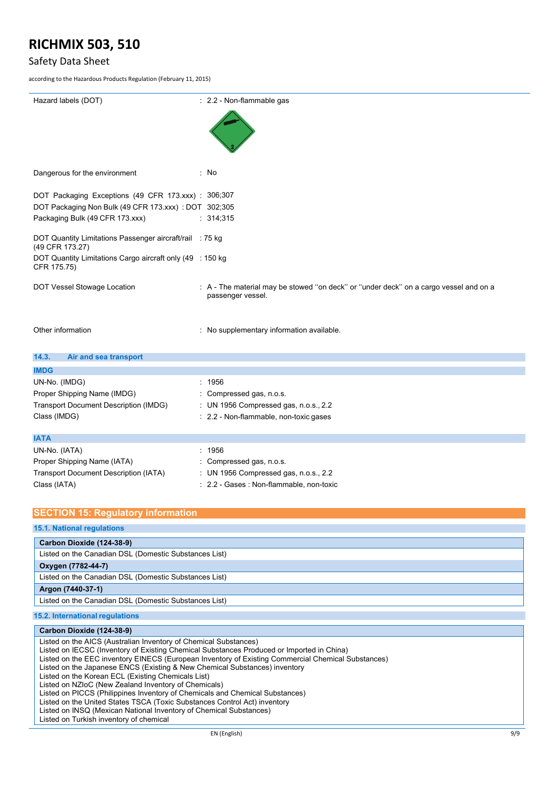### Safety Data Sheet

according to the Hazardous Products Regulation (February 11, 2015)

| Hazard labels (DOT)                                                                                                                             | : 2.2 - Non-flammable gas                                                                                  |
|-------------------------------------------------------------------------------------------------------------------------------------------------|------------------------------------------------------------------------------------------------------------|
|                                                                                                                                                 |                                                                                                            |
| Dangerous for the environment                                                                                                                   | : No                                                                                                       |
| DOT Packaging Exceptions (49 CFR 173.xxx) : 306;307<br>DOT Packaging Non Bulk (49 CFR 173.xxx) : DOT 302;305<br>Packaging Bulk (49 CFR 173.xxx) | : 314,315                                                                                                  |
| DOT Quantity Limitations Passenger aircraft/rail : 75 kg<br>(49 CFR 173.27)                                                                     |                                                                                                            |
| DOT Quantity Limitations Cargo aircraft only (49 : 150 kg<br>CFR 175.75)                                                                        |                                                                                                            |
| DOT Vessel Stowage Location                                                                                                                     | : A - The material may be stowed "on deck" or "under deck" on a cargo vessel and on a<br>passenger vessel. |
| Other information                                                                                                                               | : No supplementary information available.                                                                  |
| 14.3.<br>Air and sea transport                                                                                                                  |                                                                                                            |
| <b>IMDG</b>                                                                                                                                     |                                                                                                            |
| UN-No. (IMDG)                                                                                                                                   | : 1956                                                                                                     |
| Proper Shipping Name (IMDG)                                                                                                                     | Compressed gas, n.o.s.                                                                                     |
| <b>Transport Document Description (IMDG)</b>                                                                                                    | : UN 1956 Compressed gas, n.o.s., 2.2                                                                      |
| Class (IMDG)                                                                                                                                    | : 2.2 - Non-flammable, non-toxic gases                                                                     |
| <b>IATA</b>                                                                                                                                     |                                                                                                            |
| UN-No. (IATA)                                                                                                                                   | : 1956                                                                                                     |
| Proper Shipping Name (IATA)                                                                                                                     | Compressed gas, n.o.s.                                                                                     |
| <b>Transport Document Description (IATA)</b>                                                                                                    | : UN 1956 Compressed gas, n.o.s., 2.2                                                                      |
| Class (IATA)                                                                                                                                    | : 2.2 - Gases : Non-flammable, non-toxic                                                                   |

### **SECTION 15: Regulatory information**

### **15.1. National regulations**

| Carbon Dioxide (124-38-9)                             |  |  |  |
|-------------------------------------------------------|--|--|--|
| Listed on the Canadian DSL (Domestic Substances List) |  |  |  |
| Oxygen (7782-44-7)                                    |  |  |  |
| Listed on the Canadian DSL (Domestic Substances List) |  |  |  |
| Argon (7440-37-1)                                     |  |  |  |
| Listed on the Canadian DSL (Domestic Substances List) |  |  |  |
| 15.2. International regulations                       |  |  |  |

#### EN (English) 9/9 **Carbon Dioxide (124-38-9)** Listed on the AICS (Australian Inventory of Chemical Substances) Listed on IECSC (Inventory of Existing Chemical Substances Produced or Imported in China) Listed on the EEC inventory EINECS (European Inventory of Existing Commercial Chemical Substances) Listed on the Japanese ENCS (Existing & New Chemical Substances) inventory Listed on the Korean ECL (Existing Chemicals List) Listed on NZIoC (New Zealand Inventory of Chemicals) Listed on PICCS (Philippines Inventory of Chemicals and Chemical Substances) Listed on the United States TSCA (Toxic Substances Control Act) inventory Listed on INSQ (Mexican National Inventory of Chemical Substances) Listed on Turkish inventory of chemical